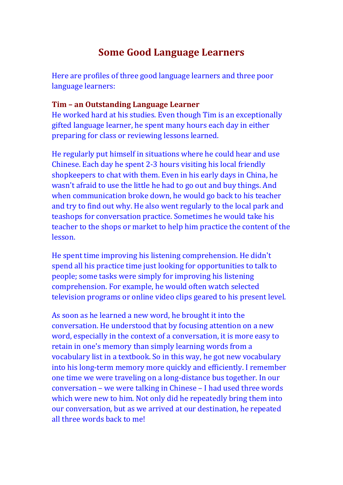# Some Good Language Learners

Here are profiles of three good language learners and three poor language learners:

### Tim – an Outstanding Language Learner

He worked hard at his studies. Even though Tim is an exceptionally gifted language learner, he spent many hours each day in either preparing for class or reviewing lessons learned.

He regularly put himself in situations where he could hear and use Chinese. Each day he spent 2-3 hours visiting his local friendly shopkeepers to chat with them. Even in his early days in China, he wasn't afraid to use the little he had to go out and buy things. And when communication broke down, he would go back to his teacher and try to find out why. He also went regularly to the local park and teashops for conversation practice. Sometimes he would take his teacher to the shops or market to help him practice the content of the lesson.

He spent time improving his listening comprehension. He didn't spend all his practice time just looking for opportunities to talk to people; some tasks were simply for improving his listening comprehension. For example, he would often watch selected television programs or online video clips geared to his present level.

As soon as he learned a new word, he brought it into the conversation. He understood that by focusing attention on a new word, especially in the context of a conversation, it is more easy to retain in one's memory than simply learning words from a vocabulary list in a textbook. So in this way, he got new vocabulary into his long-term memory more quickly and efficiently. I remember one time we were traveling on a long-distance bus together. In our conversation – we were talking in Chinese – I had used three words which were new to him. Not only did he repeatedly bring them into our conversation, but as we arrived at our destination, he repeated all three words back to me!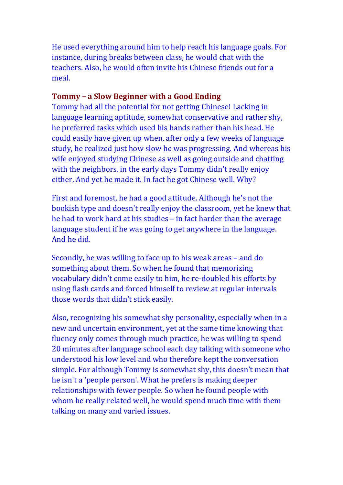He used everything around him to help reach his language goals. For instance, during breaks between class, he would chat with the teachers. Also, he would often invite his Chinese friends out for a meal.

# Tommy – a Slow Beginner with a Good Ending

Tommy had all the potential for not getting Chinese! Lacking in language learning aptitude, somewhat conservative and rather shy, he preferred tasks which used his hands rather than his head. He could easily have given up when, after only a few weeks of language study, he realized just how slow he was progressing. And whereas his wife enjoyed studying Chinese as well as going outside and chatting with the neighbors, in the early days Tommy didn't really enjoy either. And yet he made it. In fact he got Chinese well. Why?

First and foremost, he had a good attitude. Although he's not the bookish type and doesn't really enjoy the classroom, yet he knew that he had to work hard at his studies – in fact harder than the average language student if he was going to get anywhere in the language. And he did.

Secondly, he was willing to face up to his weak areas – and do something about them. So when he found that memorizing vocabulary didn't come easily to him, he re-doubled his efforts by using flash cards and forced himself to review at regular intervals those words that didn't stick easily.

Also, recognizing his somewhat shy personality, especially when in a new and uncertain environment, yet at the same time knowing that fluency only comes through much practice, he was willing to spend 20 minutes after language school each day talking with someone who understood his low level and who therefore kept the conversation simple. For although Tommy is somewhat shy, this doesn't mean that he isn't a 'people person'. What he prefers is making deeper relationships with fewer people. So when he found people with whom he really related well, he would spend much time with them talking on many and varied issues.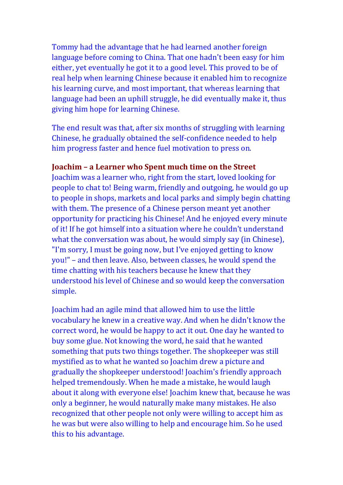Tommy had the advantage that he had learned another foreign language before coming to China. That one hadn't been easy for him either, yet eventually he got it to a good level. This proved to be of real help when learning Chinese because it enabled him to recognize his learning curve, and most important, that whereas learning that language had been an uphill struggle, he did eventually make it, thus giving him hope for learning Chinese.

The end result was that, after six months of struggling with learning Chinese, he gradually obtained the self-confidence needed to help him progress faster and hence fuel motivation to press on.

## Joachim – a Learner who Spent much time on the Street

Joachim was a learner who, right from the start, loved looking for people to chat to! Being warm, friendly and outgoing, he would go up to people in shops, markets and local parks and simply begin chatting with them. The presence of a Chinese person meant yet another opportunity for practicing his Chinese! And he enjoyed every minute of it! If he got himself into a situation where he couldn't understand what the conversation was about, he would simply say (in Chinese), "I'm sorry, I must be going now, but I've enjoyed getting to know you!" – and then leave. Also, between classes, he would spend the time chatting with his teachers because he knew that they understood his level of Chinese and so would keep the conversation simple.

Joachim had an agile mind that allowed him to use the little vocabulary he knew in a creative way. And when he didn't know the correct word, he would be happy to act it out. One day he wanted to buy some glue. Not knowing the word, he said that he wanted something that puts two things together. The shopkeeper was still mystified as to what he wanted so Joachim drew a picture and gradually the shopkeeper understood! Joachim's friendly approach helped tremendously. When he made a mistake, he would laugh about it along with everyone else! Joachim knew that, because he was only a beginner, he would naturally make many mistakes. He also recognized that other people not only were willing to accept him as he was but were also willing to help and encourage him. So he used this to his advantage.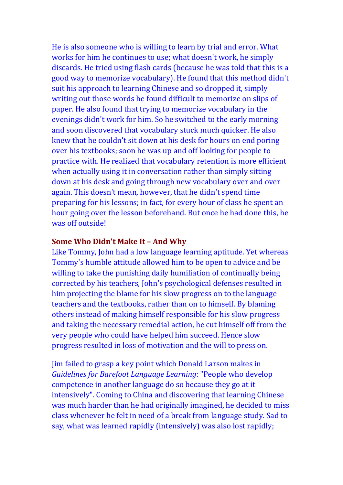He is also someone who is willing to learn by trial and error. What works for him he continues to use; what doesn't work, he simply discards. He tried using flash cards (because he was told that this is a good way to memorize vocabulary). He found that this method didn't suit his approach to learning Chinese and so dropped it, simply writing out those words he found difficult to memorize on slips of paper. He also found that trying to memorize vocabulary in the evenings didn't work for him. So he switched to the early morning and soon discovered that vocabulary stuck much quicker. He also knew that he couldn't sit down at his desk for hours on end poring over his textbooks; soon he was up and off looking for people to practice with. He realized that vocabulary retention is more efficient when actually using it in conversation rather than simply sitting down at his desk and going through new vocabulary over and over again. This doesn't mean, however, that he didn't spend time preparing for his lessons; in fact, for every hour of class he spent an hour going over the lesson beforehand. But once he had done this, he was off outside!

#### Some Who Didn't Make It – And Why

Like Tommy, John had a low language learning aptitude. Yet whereas Tommy's humble attitude allowed him to be open to advice and be willing to take the punishing daily humiliation of continually being corrected by his teachers, John's psychological defenses resulted in him projecting the blame for his slow progress on to the language teachers and the textbooks, rather than on to himself. By blaming others instead of making himself responsible for his slow progress and taking the necessary remedial action, he cut himself off from the very people who could have helped him succeed. Hence slow progress resulted in loss of motivation and the will to press on.

Jim failed to grasp a key point which Donald Larson makes in *Guidelines for Barefoot Language Learning*: "People who develop competence in another language do so because they go at it intensively". Coming to China and discovering that learning Chinese was much harder than he had originally imagined, he decided to miss class whenever he felt in need of a break from language study. Sad to say, what was learned rapidly (intensively) was also lost rapidly;